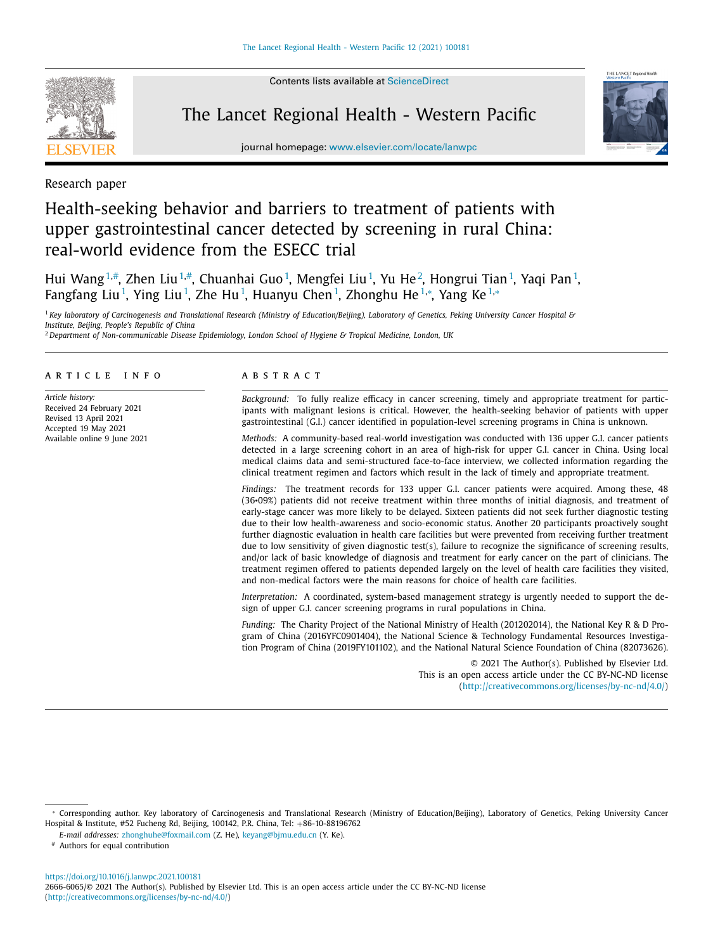Contents lists available at [ScienceDirect](http://www.ScienceDirect.com)



The Lancet Regional Health - Western Pacific



journal homepage: [www.elsevier.com/locate/lanwpc](http://www.elsevier.com/locate/lanwpc)

Research paper

# Health-seeking behavior and barriers to treatment of patients with upper gastrointestinal cancer detected by screening in rural China: real-world evidence from the ESECC trial

Hui Wang $^{1,\#}$ , Zhen Liu $^{1,\#}$ , Chuanhai Guo $^1$ , Mengfei Liu $^1$ , Yu He $^2$ , Hongrui Tian $^1$ , Yaqi Pan $^1$ , Fangfang Liu<sup>1</sup>, Ying Liu<sup>1</sup>, Zhe Hu<sup>1</sup>, Huanyu Chen<sup>1</sup>, Zhonghu He<sup>1,\*</sup>, Yang Ke<sup>1,\*</sup>

<sup>1</sup> Key laboratory of Carcinogenesis and Translational Research (Ministry of Education/Beijing), Laboratory of Genetics, Peking University Cancer Hospital & *Institute, Beijing, People's Republic of China*

<sup>2</sup> *Department of Non-communicable Disease Epidemiology, London School of Hygiene & Tropical Medicine, London, UK*

#### ARTICLE INFO

*Article history:* Received 24 February 2021 Revised 13 April 2021 Accepted 19 May 2021 Available online 9 June 2021

#### A B S T R A C T

*Background:* To fully realize efficacy in cancer screening, timely and appropriate treatment for participants with malignant lesions is critical. However, the health-seeking behavior of patients with upper gastrointestinal (G.I.) cancer identified in population-level screening programs in China is unknown.

*Methods:* A community-based real-world investigation was conducted with 136 upper G.I. cancer patients detected in a large screening cohort in an area of high-risk for upper G.I. cancer in China. Using local medical claims data and semi-structured face-to-face interview, we collected information regarding the clinical treatment regimen and factors which result in the lack of timely and appropriate treatment.

*Findings:* The treatment records for 133 upper G.I. cancer patients were acquired. Among these, 48 (36•09%) patients did not receive treatment within three months of initial diagnosis, and treatment of early-stage cancer was more likely to be delayed. Sixteen patients did not seek further diagnostic testing due to their low health-awareness and socio-economic status. Another 20 participants proactively sought further diagnostic evaluation in health care facilities but were prevented from receiving further treatment due to low sensitivity of given diagnostic test(s), failure to recognize the significance of screening results, and/or lack of basic knowledge of diagnosis and treatment for early cancer on the part of clinicians. The treatment regimen offered to patients depended largely on the level of health care facilities they visited, and non-medical factors were the main reasons for choice of health care facilities.

*Interpretation:* A coordinated, system-based management strategy is urgently needed to support the design of upper G.I. cancer screening programs in rural populations in China.

*Funding:* The Charity Project of the National Ministry of Health (201202014), the National Key R & D Program of China (2016YFC0901404), the National Science & Technology Fundamental Resources Investigation Program of China (2019FY101102), and the National Natural Science Foundation of China (82073626).

> © 2021 The Author(s). Published by Elsevier Ltd. This is an open access article under the CC BY-NC-ND license [\(http://creativecommons.org/licenses/by-nc-nd/4.0/\)](http://creativecommons.org/licenses/by-nc-nd/4.0/)

# Authors for equal contribution

<https://doi.org/10.1016/j.lanwpc.2021.100181> 2666-6065/© 2021 The Author(s). Published by Elsevier Ltd. This is an open access article under the CC BY-NC-ND license [\(http://creativecommons.org/licenses/by-nc-nd/4.0/\)](http://creativecommons.org/licenses/by-nc-nd/4.0/)

<sup>∗</sup> Corresponding author. Key laboratory of Carcinogenesis and Translational Research (Ministry of Education/Beijing), Laboratory of Genetics, Peking University Cancer Hospital & Institute, #52 Fucheng Rd, Beijing, 100142, P.R. China, Tel: +86-10-88196762

*E-mail addresses:* [zhonghuhe@foxmail.com](mailto:zhonghuhe@foxmail.com) (Z. He), [keyang@bjmu.edu.cn](mailto:keyang@bjmu.edu.cn) (Y. Ke).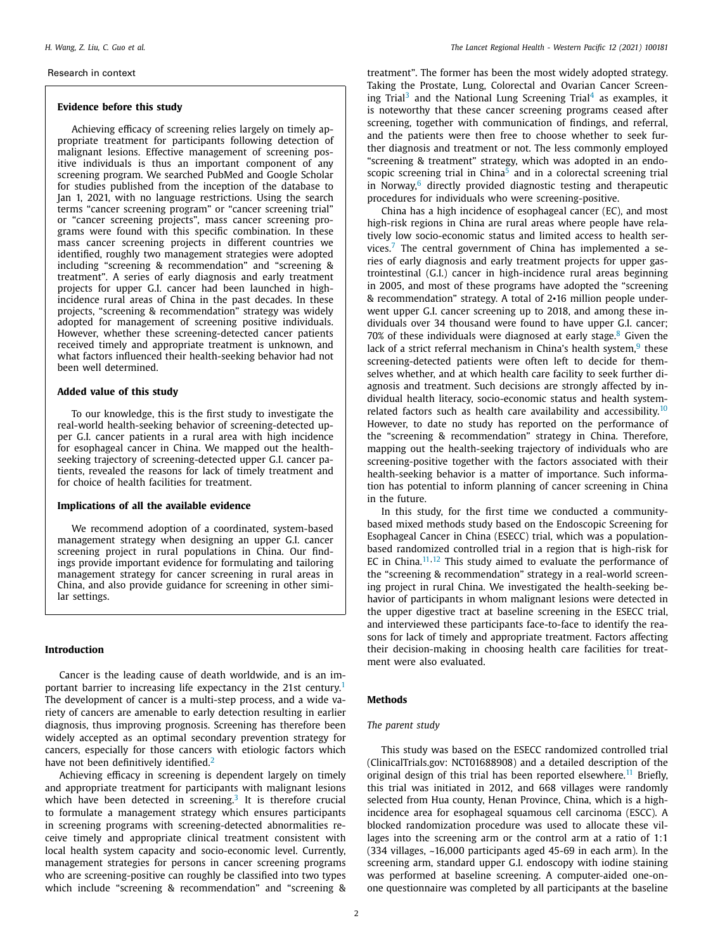#### Research in context

#### **Evidence before this study**

Achieving efficacy of screening relies largely on timely appropriate treatment for participants following detection of malignant lesions. Effective management of screening positive individuals is thus an important component of any screening program. We searched PubMed and Google Scholar for studies published from the inception of the database to Jan 1, 2021, with no language restrictions. Using the search terms "cancer screening program" or "cancer screening trial" or "cancer screening projects", mass cancer screening programs were found with this specific combination. In these mass cancer screening projects in different countries we identified, roughly two management strategies were adopted including "screening & recommendation" and "screening & treatment". A series of early diagnosis and early treatment projects for upper G.I. cancer had been launched in highincidence rural areas of China in the past decades. In these projects, "screening & recommendation" strategy was widely adopted for management of screening positive individuals. However, whether these screening-detected cancer patients received timely and appropriate treatment is unknown, and what factors influenced their health-seeking behavior had not been well determined.

#### **Added value of this study**

To our knowledge, this is the first study to investigate the real-world health-seeking behavior of screening-detected upper G.I. cancer patients in a rural area with high incidence for esophageal cancer in China. We mapped out the healthseeking trajectory of screening-detected upper G.I. cancer patients, revealed the reasons for lack of timely treatment and for choice of health facilities for treatment.

#### **Implications of all the available evidence**

We recommend adoption of a coordinated, system-based management strategy when designing an upper G.I. cancer screening project in rural populations in China. Our findings provide important evidence for formulating and tailoring management strategy for cancer screening in rural areas in China, and also provide guidance for screening in other similar settings.

#### **Introduction**

Cancer is the leading cause of death worldwide, and is an im-portant barrier to increasing life expectancy in the 2[1](#page-6-0)st century.<sup>1</sup> The development of cancer is a multi-step process, and a wide variety of cancers are amenable to early detection resulting in earlier diagnosis, thus improving prognosis. Screening has therefore been widely accepted as an optimal secondary prevention strategy for cancers, especially for those cancers with etiologic factors which have not been definitively identified.<sup>[2](#page-6-0)</sup>

Achieving efficacy in screening is dependent largely on timely and appropriate treatment for participants with malignant lesions which have been detected in screening.<sup>[3](#page-6-0)</sup> It is therefore crucial to formulate a management strategy which ensures participants in screening programs with screening-detected abnormalities receive timely and appropriate clinical treatment consistent with local health system capacity and socio-economic level. Currently, management strategies for persons in cancer screening programs who are screening-positive can roughly be classified into two types which include "screening & recommendation" and "screening & treatment". The former has been the most widely adopted strategy. Taking the Prostate, Lung, Colorectal and Ovarian Cancer Screen-ing Trial<sup>[3](#page-6-0)</sup> and the National Lung Screening Trial<sup>[4](#page-6-0)</sup> as examples, it is noteworthy that these cancer screening programs ceased after screening, together with communication of findings, and referral, and the patients were then free to choose whether to seek further diagnosis and treatment or not. The less commonly employed "screening & treatment" strategy, which was adopted in an endoscopic screening trial in  $China<sup>5</sup>$  $China<sup>5</sup>$  $China<sup>5</sup>$  and in a colorectal screening trial in Norway, $6$  directly provided diagnostic testing and therapeutic procedures for individuals who were screening-positive.

China has a high incidence of esophageal cancer (EC), and most high-risk regions in China are rural areas where people have relatively low socio-economic status and limited access to health ser-vices.<sup>[7](#page-6-0)</sup> The central government of China has implemented a series of early diagnosis and early treatment projects for upper gastrointestinal (G.I.) cancer in high-incidence rural areas beginning in 2005, and most of these programs have adopted the "screening & recommendation" strategy. A total of 2•16 million people underwent upper G.I. cancer screening up to 2018, and among these individuals over 34 thousand were found to have upper G.I. cancer;  $70\%$  of these individuals were diagnosed at early stage. $8$  Given the lack of a strict referral mechanism in China's health system, $9$  these screening-detected patients were often left to decide for themselves whether, and at which health care facility to seek further diagnosis and treatment. Such decisions are strongly affected by individual health literacy, socio-economic status and health system-related factors such as health care availability and accessibility.<sup>[10](#page-7-0)</sup> However, to date no study has reported on the performance of the "screening & recommendation" strategy in China. Therefore, mapping out the health-seeking trajectory of individuals who are screening-positive together with the factors associated with their health-seeking behavior is a matter of importance. Such information has potential to inform planning of cancer screening in China in the future.

In this study, for the first time we conducted a communitybased mixed methods study based on the Endoscopic Screening for Esophageal Cancer in China (ESECC) trial, which was a populationbased randomized controlled trial in a region that is high-risk for EC in China. $11,12$  This study aimed to evaluate the performance of the "screening & recommendation" strategy in a real-world screening project in rural China. We investigated the health-seeking behavior of participants in whom malignant lesions were detected in the upper digestive tract at baseline screening in the ESECC trial, and interviewed these participants face-to-face to identify the reasons for lack of timely and appropriate treatment. Factors affecting their decision-making in choosing health care facilities for treatment were also evaluated.

### **Methods**

#### *The parent study*

This study was based on the ESECC randomized controlled trial (ClinicalTrials.gov: NCT01688908) and a detailed description of the original design of this trial has been reported elsewhere.<sup>[11](#page-7-0)</sup> Briefly, this trial was initiated in 2012, and 668 villages were randomly selected from Hua county, Henan Province, China, which is a highincidence area for esophageal squamous cell carcinoma (ESCC). A blocked randomization procedure was used to allocate these villages into the screening arm or the control arm at a ratio of 1:1 (334 villages, ~16,000 participants aged 45-69 in each arm). In the screening arm, standard upper G.I. endoscopy with iodine staining was performed at baseline screening. A computer-aided one-onone questionnaire was completed by all participants at the baseline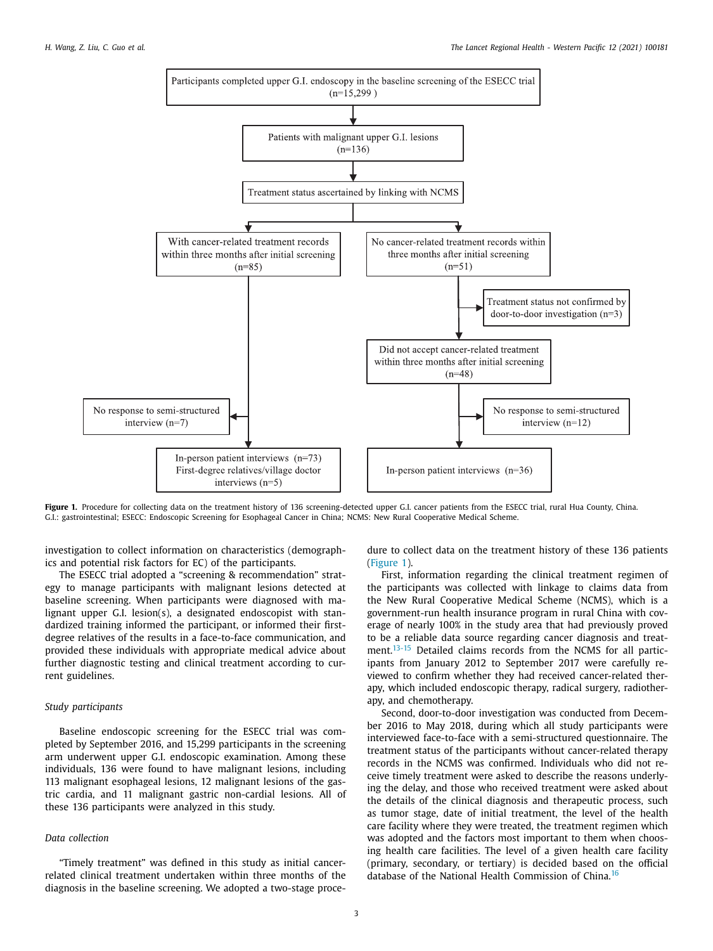

Figure 1. Procedure for collecting data on the treatment history of 136 screening-detected upper G.I. cancer patients from the ESECC trial, rural Hua County, China. G.I.: gastrointestinal; ESECC: Endoscopic Screening for Esophageal Cancer in China; NCMS: New Rural Cooperative Medical Scheme.

investigation to collect information on characteristics (demographics and potential risk factors for EC) of the participants.

The ESECC trial adopted a "screening & recommendation" strategy to manage participants with malignant lesions detected at baseline screening. When participants were diagnosed with malignant upper G.I. lesion(s), a designated endoscopist with standardized training informed the participant, or informed their firstdegree relatives of the results in a face-to-face communication, and provided these individuals with appropriate medical advice about further diagnostic testing and clinical treatment according to current guidelines.

## *Study participants*

Baseline endoscopic screening for the ESECC trial was completed by September 2016, and 15,299 participants in the screening arm underwent upper G.I. endoscopic examination. Among these individuals, 136 were found to have malignant lesions, including 113 malignant esophageal lesions, 12 malignant lesions of the gastric cardia, and 11 malignant gastric non-cardial lesions. All of these 136 participants were analyzed in this study.

# *Data collection*

"Timely treatment" was defined in this study as initial cancerrelated clinical treatment undertaken within three months of the diagnosis in the baseline screening. We adopted a two-stage proce-

dure to collect data on the treatment history of these 136 patients (Figure 1).

First, information regarding the clinical treatment regimen of the participants was collected with linkage to claims data from the New Rural Cooperative Medical Scheme (NCMS), which is a government-run health insurance program in rural China with coverage of nearly 100% in the study area that had previously proved to be a reliable data source regarding cancer diagnosis and treat-ment.<sup>[13-15](#page-7-0)</sup> Detailed claims records from the NCMS for all participants from January 2012 to September 2017 were carefully reviewed to confirm whether they had received cancer-related therapy, which included endoscopic therapy, radical surgery, radiotherapy, and chemotherapy.

Second, door-to-door investigation was conducted from December 2016 to May 2018, during which all study participants were interviewed face-to-face with a semi-structured questionnaire. The treatment status of the participants without cancer-related therapy records in the NCMS was confirmed. Individuals who did not receive timely treatment were asked to describe the reasons underlying the delay, and those who received treatment were asked about the details of the clinical diagnosis and therapeutic process, such as tumor stage, date of initial treatment, the level of the health care facility where they were treated, the treatment regimen which was adopted and the factors most important to them when choosing health care facilities. The level of a given health care facility (primary, secondary, or tertiary) is decided based on the official database of the National Health Commission of China.[16](#page-7-0)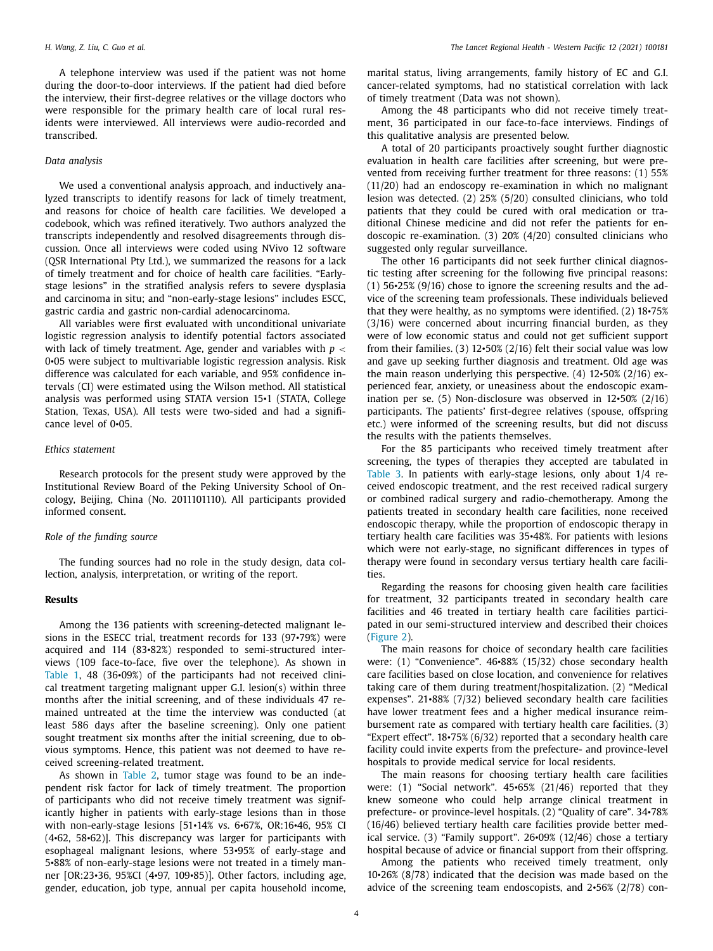A telephone interview was used if the patient was not home during the door-to-door interviews. If the patient had died before the interview, their first-degree relatives or the village doctors who were responsible for the primary health care of local rural residents were interviewed. All interviews were audio-recorded and transcribed.

## *Data analysis*

We used a conventional analysis approach, and inductively analyzed transcripts to identify reasons for lack of timely treatment, and reasons for choice of health care facilities. We developed a codebook, which was refined iteratively. Two authors analyzed the transcripts independently and resolved disagreements through discussion. Once all interviews were coded using NVivo 12 software (QSR International Pty Ltd.), we summarized the reasons for a lack of timely treatment and for choice of health care facilities. "Earlystage lesions" in the stratified analysis refers to severe dysplasia and carcinoma in situ; and "non-early-stage lesions" includes ESCC, gastric cardia and gastric non-cardial adenocarcinoma.

All variables were first evaluated with unconditional univariate logistic regression analysis to identify potential factors associated with lack of timely treatment. Age, gender and variables with *p* < 0•05 were subject to multivariable logistic regression analysis. Risk difference was calculated for each variable, and 95% confidence intervals (CI) were estimated using the Wilson method. All statistical analysis was performed using STATA version 15•1 (STATA, College Station, Texas, USA). All tests were two-sided and had a significance level of 0•05.

#### *Ethics statement*

Research protocols for the present study were approved by the Institutional Review Board of the Peking University School of Oncology, Beijing, China (No. 2011101110). All participants provided informed consent.

### *Role of the funding source*

The funding sources had no role in the study design, data collection, analysis, interpretation, or writing of the report.

#### **Results**

Among the 136 patients with screening-detected malignant lesions in the ESECC trial, treatment records for 133 (97•79%) were acquired and 114 (83•82%) responded to semi-structured interviews (109 face-to-face, five over the telephone). As shown in [Table](#page-4-0) 1, 48 (36•09%) of the participants had not received clinical treatment targeting malignant upper G.I. lesion(s) within three months after the initial screening, and of these individuals 47 remained untreated at the time the interview was conducted (at least 586 days after the baseline screening). Only one patient sought treatment six months after the initial screening, due to obvious symptoms. Hence, this patient was not deemed to have received screening-related treatment.

As shown in [Table](#page-4-0) 2, tumor stage was found to be an independent risk factor for lack of timely treatment. The proportion of participants who did not receive timely treatment was significantly higher in patients with early-stage lesions than in those with non-early-stage lesions [51•14% vs. 6•67%, OR:16•46, 95% CI (4•62, 58•62)]. This discrepancy was larger for participants with esophageal malignant lesions, where 53•95% of early-stage and 5•88% of non-early-stage lesions were not treated in a timely manner [OR:23•36, 95%CI (4•97, 109•85)]. Other factors, including age, gender, education, job type, annual per capita household income,

marital status, living arrangements, family history of EC and G.I. cancer-related symptoms, had no statistical correlation with lack of timely treatment (Data was not shown).

Among the 48 participants who did not receive timely treatment, 36 participated in our face-to-face interviews. Findings of this qualitative analysis are presented below.

A total of 20 participants proactively sought further diagnostic evaluation in health care facilities after screening, but were prevented from receiving further treatment for three reasons: (1) 55% (11/20) had an endoscopy re-examination in which no malignant lesion was detected. (2) 25% (5/20) consulted clinicians, who told patients that they could be cured with oral medication or traditional Chinese medicine and did not refer the patients for endoscopic re-examination. (3) 20% (4/20) consulted clinicians who suggested only regular surveillance.

The other 16 participants did not seek further clinical diagnostic testing after screening for the following five principal reasons: (1) 56•25% (9/16) chose to ignore the screening results and the advice of the screening team professionals. These individuals believed that they were healthy, as no symptoms were identified. (2) 18•75% (3/16) were concerned about incurring financial burden, as they were of low economic status and could not get sufficient support from their families. (3) 12•50% (2/16) felt their social value was low and gave up seeking further diagnosis and treatment. Old age was the main reason underlying this perspective. (4) 12•50% (2/16) experienced fear, anxiety, or uneasiness about the endoscopic examination per se. (5) Non-disclosure was observed in 12•50% (2/16) participants. The patients' first-degree relatives (spouse, offspring etc.) were informed of the screening results, but did not discuss the results with the patients themselves.

For the 85 participants who received timely treatment after screening, the types of therapies they accepted are tabulated in [Table](#page-5-0) 3. In patients with early-stage lesions, only about 1/4 received endoscopic treatment, and the rest received radical surgery or combined radical surgery and radio-chemotherapy. Among the patients treated in secondary health care facilities, none received endoscopic therapy, while the proportion of endoscopic therapy in tertiary health care facilities was 35•48%. For patients with lesions which were not early-stage, no significant differences in types of therapy were found in secondary versus tertiary health care facilities.

Regarding the reasons for choosing given health care facilities for treatment, 32 participants treated in secondary health care facilities and 46 treated in tertiary health care facilities participated in our semi-structured interview and described their choices [\(Figure](#page-5-0) 2).

The main reasons for choice of secondary health care facilities were: (1) "Convenience". 46•88% (15/32) chose secondary health care facilities based on close location, and convenience for relatives taking care of them during treatment/hospitalization. (2) "Medical expenses". 21•88% (7/32) believed secondary health care facilities have lower treatment fees and a higher medical insurance reimbursement rate as compared with tertiary health care facilities. (3) "Expert effect". 18•75% (6/32) reported that a secondary health care facility could invite experts from the prefecture- and province-level hospitals to provide medical service for local residents.

The main reasons for choosing tertiary health care facilities were: (1) "Social network". 45•65% (21/46) reported that they knew someone who could help arrange clinical treatment in prefecture- or province-level hospitals. (2) "Quality of care". 34•78% (16/46) believed tertiary health care facilities provide better medical service. (3) "Family support". 26•09% (12/46) chose a tertiary hospital because of advice or financial support from their offspring.

Among the patients who received timely treatment, only 10•26% (8/78) indicated that the decision was made based on the advice of the screening team endoscopists, and 2•56% (2/78) con-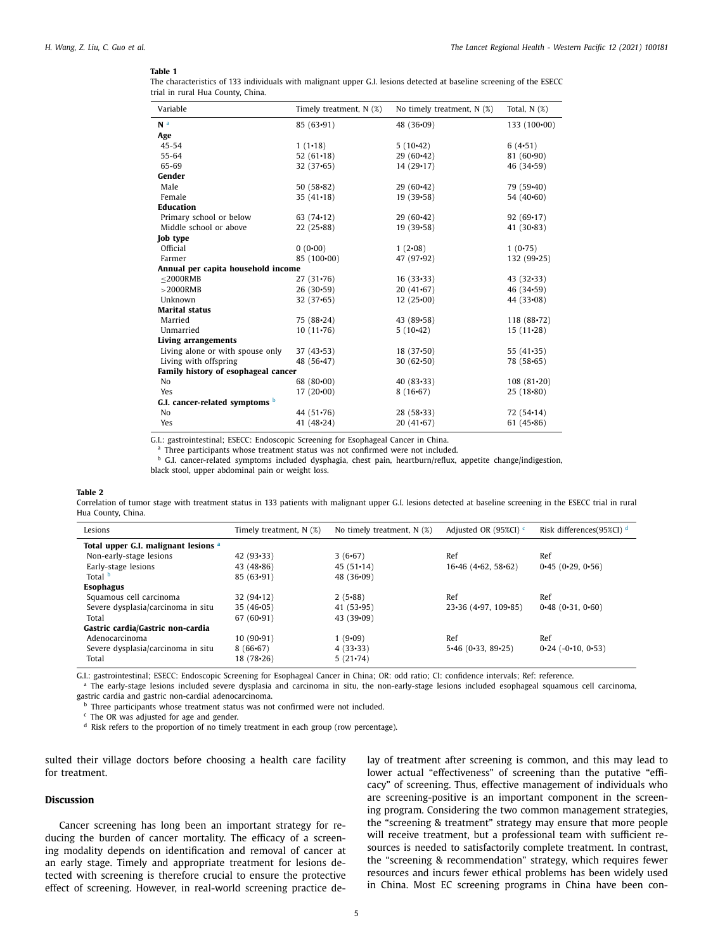#### <span id="page-4-0"></span>**Table 1**

| The characteristics of 133 individuals with malignant upper G.I. lesions detected at baseline screening of the ESECC |  |
|----------------------------------------------------------------------------------------------------------------------|--|
| trial in rural Hua County, China.                                                                                    |  |

| Variable                              | Timely treatment, N (%) | No timely treatment, N (%) | Total, $N$ $(\%)$ |
|---------------------------------------|-------------------------|----------------------------|-------------------|
| N <sup>a</sup>                        | 85(63.91)               | 48 $(36.09)$               | $133(100\cdot00)$ |
| Age                                   |                         |                            |                   |
| $45 - 54$                             | $1(1-18)$               | $5(10-42)$                 | $6(4-51)$         |
| 55-64                                 | 52 $(61 \cdot 18)$      | $29(60-42)$                | $81(60-90)$       |
| 65-69                                 | 32(37.65)               | $14(29-17)$                | $46(34-59)$       |
| Gender                                |                         |                            |                   |
| Male                                  | 50(58.82)               | $29(60-42)$                | 79 (59.40)        |
| Female                                | $35(41-18)$             | 19(39.58)                  | 54(40.60)         |
| <b>Education</b>                      |                         |                            |                   |
| Primary school or below               | 63 $(74-12)$            | $29(60-42)$                | $92(69 \cdot 17)$ |
| Middle school or above                | $22(25-88)$             | 19(39.58)                  | 41 $(30.83)$      |
| <b>Job</b> type                       |                         |                            |                   |
| Official                              | 0(0.00)                 | $1(2-08)$                  | 1(0.75)           |
| Farmer                                | 85 (100+00)             | 47 (97.92)                 | 132 (99•25)       |
| Annual per capita household income    |                         |                            |                   |
| $<$ 2000RMB                           | $27(31-76)$             | $16(33-33)$                | $43(32-33)$       |
| $>$ 2000RMB                           | $26(30-59)$             | $20(41-67)$                | 46 (34.59)        |
| Unknown                               | 32(37.65)               | $12(25\cdot00)$            | 44 $(33.08)$      |
| <b>Marital status</b>                 |                         |                            |                   |
| Married                               | 75 (88.24)              | 43 (89.58)                 | $118(88-72)$      |
| Unmarried                             | $10(11-76)$             | $5(10-42)$                 | $15(11-28)$       |
| Living arrangements                   |                         |                            |                   |
| Living alone or with spouse only      | 37(43.53)               | $18(37\cdot50)$            | 55 $(41-35)$      |
| Living with offspring                 | 48 (56.47)              | $30(62 - 50)$              | 78 (58.65)        |
| Family history of esophageal cancer   |                         |                            |                   |
| N <sub>o</sub>                        | 68 $(80-00)$            | $40(83-33)$                | $108(81-20)$      |
| Yes                                   | $17(20-00)$             | $8(16-67)$                 | $25(18-80)$       |
| G.I. cancer-related symptoms <b>b</b> |                         |                            |                   |
| N <sub>o</sub>                        | 44 $(51.76)$            | $28(58-33)$                | 72(54.14)         |
| Yes                                   | 41 $(48.24)$            | $20(41-67)$                | 61 $(45.86)$      |

G.I.: gastrointestinal; ESECC: Endoscopic Screening for Esophageal Cancer in China.

Three participants whose treatment status was not confirmed were not included.

**b** G.I. cancer-related symptoms included dysphagia, chest pain, heartburn/reflux, appetite change/indigestion,

black stool, upper abdominal pain or weight loss.

#### **Table 2**

Correlation of tumor stage with treatment status in 133 patients with malignant upper G.I. lesions detected at baseline screening in the ESECC trial in rural Hua County, China.

| Lesions                              | Timely treatment, N (%) | No timely treatment, $N$ $(\%)$ | Adjusted OR $(95\%CI)$ <sup>c</sup>          | Risk differences(95%CI) <sup>d</sup> |
|--------------------------------------|-------------------------|---------------------------------|----------------------------------------------|--------------------------------------|
| Total upper G.I. malignant lesions a |                         |                                 |                                              |                                      |
| Non-early-stage lesions              | $42(93-33)$             | 3(6.67)                         | Ref                                          | Ref                                  |
| Early-stage lesions                  | 43 $(48.86)$            | $45(51 \cdot 14)$               | $16-46$ (4 $-62$ , 58 $-62$ )                | 0.45(0.29.0.56)                      |
| Total b                              | $85(63-91)$             | 48 $(36.09)$                    |                                              |                                      |
| <b>Esophagus</b>                     |                         |                                 |                                              |                                      |
| Squamous cell carcinoma              | $32(94-12)$             | 2(5.88)                         | Ref                                          | Ref                                  |
| Severe dysplasia/carcinoma in situ   | 35(46.05)               | 41 $(53.95)$                    | $23 \cdot 36$ (4 $\cdot$ 97, 109 $\cdot$ 85) | 0.48(0.31, 0.60)                     |
| Total                                | $67(60-91)$             | $43(39-09)$                     |                                              |                                      |
| Gastric cardia/Gastric non-cardia    |                         |                                 |                                              |                                      |
| Adenocarcinoma                       | $10(90-91)$             | $1(9-09)$                       | Ref                                          | Ref                                  |
| Severe dysplasia/carcinoma in situ   | $8(66-67)$              | 4(33.33)                        | $5\cdot 46$ (0 $\cdot 33$ , 89 $\cdot 25$ )  | $0.24$ ( $-0.10$ , $0.53$ )          |
| Total                                | $18(78-26)$             | $5(21-74)$                      |                                              |                                      |

G.I.: gastrointestinal; ESECC: Endoscopic Screening for Esophageal Cancer in China; OR: odd ratio; CI: confidence intervals; Ref: reference.

<sup>a</sup> The early-stage lesions included severe dysplasia and carcinoma in situ, the non-early-stage lesions included esophageal squamous cell carcinoma, gastric cardia and gastric non-cardial adenocarcinoma.

**b** Three participants whose treatment status was not confirmed were not included.

<sup>c</sup> The OR was adjusted for age and gender.

<sup>d</sup> Risk refers to the proportion of no timely treatment in each group (row percentage).

sulted their village doctors before choosing a health care facility for treatment.

## **Discussion**

Cancer screening has long been an important strategy for reducing the burden of cancer mortality. The efficacy of a screening modality depends on identification and removal of cancer at an early stage. Timely and appropriate treatment for lesions detected with screening is therefore crucial to ensure the protective effect of screening. However, in real-world screening practice delay of treatment after screening is common, and this may lead to lower actual "effectiveness" of screening than the putative "efficacy" of screening. Thus, effective management of individuals who are screening-positive is an important component in the screening program. Considering the two common management strategies, the "screening & treatment" strategy may ensure that more people will receive treatment, but a professional team with sufficient resources is needed to satisfactorily complete treatment. In contrast, the "screening & recommendation" strategy, which requires fewer resources and incurs fewer ethical problems has been widely used in China. Most EC screening programs in China have been con-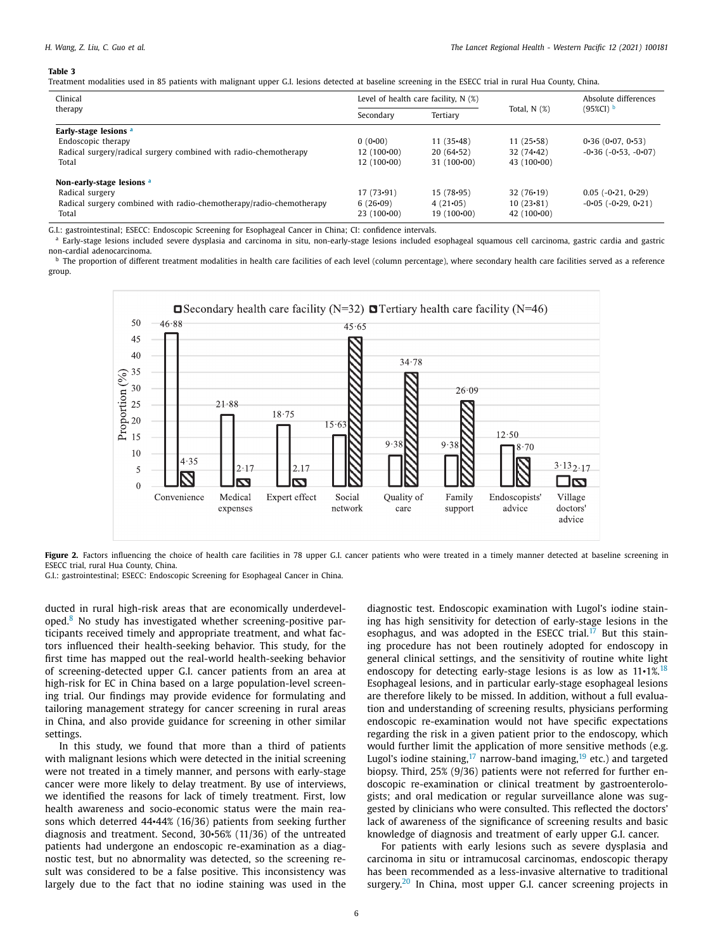#### <span id="page-5-0"></span>**Table 3**

Treatment modalities used in 85 patients with malignant upper G.I. lesions detected at baseline screening in the ESECC trial in rural Hua County, China.

| Clinical                                                            | Level of health care facility, $N(\%)$ |                   |                     | Absolute differences          |  |
|---------------------------------------------------------------------|----------------------------------------|-------------------|---------------------|-------------------------------|--|
| therapy                                                             | Tertiary<br>Secondary                  |                   | Total, $N$ $(\%)$   | $(95\%CI)^{b}$                |  |
| Early-stage lesions <sup>a</sup>                                    |                                        |                   |                     |                               |  |
| Endoscopic therapy                                                  | $0(0-00)$                              | $11(35-48)$       | 11(25.58)           | 0.36(0.07, 0.53)              |  |
| Radical surgery/radical surgery combined with radio-chemotherapy    | $12(100-00)$                           | $20(64-52)$       | $32(74-42)$         | $-0.36$ ( $-0.53$ , $-0.07$ ) |  |
| Total                                                               | $12(100-00)$                           | $31(100\cdot00)$  | 43 $(100 \cdot 00)$ |                               |  |
| Non-early-stage lesions a                                           |                                        |                   |                     |                               |  |
| Radical surgery                                                     | 17(73.91)                              | 15(78.95)         | $32(76-19)$         | $0.05$ ( $-0.21$ , $0.29$ )   |  |
| Radical surgery combined with radio-chemotherapy/radio-chemotherapy | 6(26.09)                               | $4(21-05)$        | $10(23-81)$         | $-0.05$ ( $-0.29$ , $0.21$ )  |  |
| Total                                                               | $23(100\cdot00)$                       | $19(100\cdot 00)$ | 42 $(100\cdot 00)$  |                               |  |

G.I.: gastrointestinal; ESECC: Endoscopic Screening for Esophageal Cancer in China; CI: confidence intervals.

a Early-stage lesions included severe dysplasia and carcinoma in situ, non-early-stage lesions included esophageal squamous cell carcinoma, gastric cardia and gastric non-cardial adenocarcinoma.

**b** The proportion of different treatment modalities in health care facilities of each level (column percentage), where secondary health care facilities served as a reference group.



Figure 2. Factors influencing the choice of health care facilities in 78 upper G.I. cancer patients who were treated in a timely manner detected at baseline screening in ESECC trial, rural Hua County, China.

G.I.: gastrointestinal; ESECC: Endoscopic Screening for Esophageal Cancer in China.

ducted in rural high-risk areas that are economically underdeveloped.[8](#page-7-0) No study has investigated whether screening-positive participants received timely and appropriate treatment, and what factors influenced their health-seeking behavior. This study, for the first time has mapped out the real-world health-seeking behavior of screening-detected upper G.I. cancer patients from an area at high-risk for EC in China based on a large population-level screening trial. Our findings may provide evidence for formulating and tailoring management strategy for cancer screening in rural areas in China, and also provide guidance for screening in other similar settings.

In this study, we found that more than a third of patients with malignant lesions which were detected in the initial screening were not treated in a timely manner, and persons with early-stage cancer were more likely to delay treatment. By use of interviews, we identified the reasons for lack of timely treatment. First, low health awareness and socio-economic status were the main reasons which deterred 44•44% (16/36) patients from seeking further diagnosis and treatment. Second, 30•56% (11/36) of the untreated patients had undergone an endoscopic re-examination as a diagnostic test, but no abnormality was detected, so the screening result was considered to be a false positive. This inconsistency was largely due to the fact that no iodine staining was used in the diagnostic test. Endoscopic examination with Lugol's iodine staining has high sensitivity for detection of early-stage lesions in the esophagus, and was adopted in the ESECC trial.<sup>[17](#page-7-0)</sup> But this staining procedure has not been routinely adopted for endoscopy in general clinical settings, and the sensitivity of routine white light endoscopy for detecting early-stage lesions is as low as  $11 \cdot 1\%$ .<sup>[18](#page-7-0)</sup> Esophageal lesions, and in particular early-stage esophageal lesions are therefore likely to be missed. In addition, without a full evaluation and understanding of screening results, physicians performing endoscopic re-examination would not have specific expectations regarding the risk in a given patient prior to the endoscopy, which would further limit the application of more sensitive methods (e.g. Lugol's iodine staining,  $17$  narrow-band imaging,  $19$  etc.) and targeted biopsy. Third, 25% (9/36) patients were not referred for further endoscopic re-examination or clinical treatment by gastroenterologists; and oral medication or regular surveillance alone was suggested by clinicians who were consulted. This reflected the doctors' lack of awareness of the significance of screening results and basic knowledge of diagnosis and treatment of early upper G.I. cancer.

For patients with early lesions such as severe dysplasia and carcinoma in situ or intramucosal carcinomas, endoscopic therapy has been recommended as a less-invasive alternative to traditional surgery.<sup>[20](#page-7-0)</sup> In China, most upper G.I. cancer screening projects in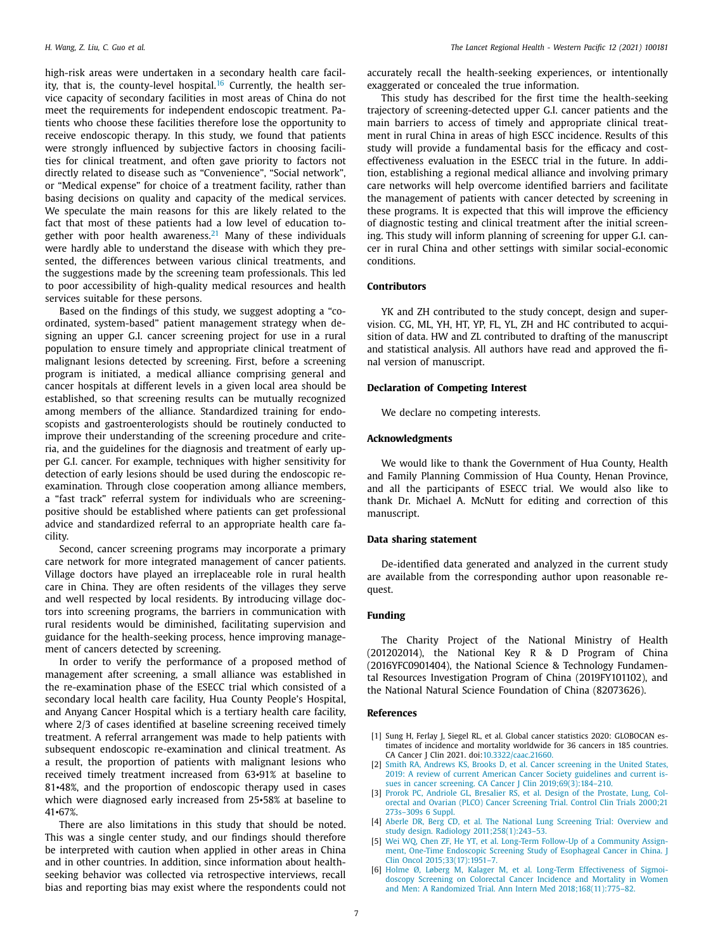<span id="page-6-0"></span>high-risk areas were undertaken in a secondary health care facil-ity, that is, the county-level hospital.<sup>[16](#page-7-0)</sup> Currently, the health service capacity of secondary facilities in most areas of China do not meet the requirements for independent endoscopic treatment. Patients who choose these facilities therefore lose the opportunity to receive endoscopic therapy. In this study, we found that patients were strongly influenced by subjective factors in choosing facilities for clinical treatment, and often gave priority to factors not directly related to disease such as "Convenience", "Social network", or "Medical expense" for choice of a treatment facility, rather than basing decisions on quality and capacity of the medical services. We speculate the main reasons for this are likely related to the fact that most of these patients had a low level of education to-gether with poor health awareness.<sup>[21](#page-7-0)</sup> Many of these individuals were hardly able to understand the disease with which they presented, the differences between various clinical treatments, and the suggestions made by the screening team professionals. This led to poor accessibility of high-quality medical resources and health services suitable for these persons.

Based on the findings of this study, we suggest adopting a "coordinated, system-based" patient management strategy when designing an upper G.I. cancer screening project for use in a rural population to ensure timely and appropriate clinical treatment of malignant lesions detected by screening. First, before a screening program is initiated, a medical alliance comprising general and cancer hospitals at different levels in a given local area should be established, so that screening results can be mutually recognized among members of the alliance. Standardized training for endoscopists and gastroenterologists should be routinely conducted to improve their understanding of the screening procedure and criteria, and the guidelines for the diagnosis and treatment of early upper G.I. cancer. For example, techniques with higher sensitivity for detection of early lesions should be used during the endoscopic reexamination. Through close cooperation among alliance members, a "fast track" referral system for individuals who are screeningpositive should be established where patients can get professional advice and standardized referral to an appropriate health care facility.

Second, cancer screening programs may incorporate a primary care network for more integrated management of cancer patients. Village doctors have played an irreplaceable role in rural health care in China. They are often residents of the villages they serve and well respected by local residents. By introducing village doctors into screening programs, the barriers in communication with rural residents would be diminished, facilitating supervision and guidance for the health-seeking process, hence improving management of cancers detected by screening.

In order to verify the performance of a proposed method of management after screening, a small alliance was established in the re-examination phase of the ESECC trial which consisted of a secondary local health care facility, Hua County People's Hospital, and Anyang Cancer Hospital which is a tertiary health care facility, where 2/3 of cases identified at baseline screening received timely treatment. A referral arrangement was made to help patients with subsequent endoscopic re-examination and clinical treatment. As a result, the proportion of patients with malignant lesions who received timely treatment increased from 63•91% at baseline to 81•48%, and the proportion of endoscopic therapy used in cases which were diagnosed early increased from 25•58% at baseline to 41•67%.

There are also limitations in this study that should be noted. This was a single center study, and our findings should therefore be interpreted with caution when applied in other areas in China and in other countries. In addition, since information about healthseeking behavior was collected via retrospective interviews, recall bias and reporting bias may exist where the respondents could not

accurately recall the health-seeking experiences, or intentionally exaggerated or concealed the true information.

This study has described for the first time the health-seeking trajectory of screening-detected upper G.I. cancer patients and the main barriers to access of timely and appropriate clinical treatment in rural China in areas of high ESCC incidence. Results of this study will provide a fundamental basis for the efficacy and costeffectiveness evaluation in the ESECC trial in the future. In addition, establishing a regional medical alliance and involving primary care networks will help overcome identified barriers and facilitate the management of patients with cancer detected by screening in these programs. It is expected that this will improve the efficiency of diagnostic testing and clinical treatment after the initial screening. This study will inform planning of screening for upper G.I. cancer in rural China and other settings with similar social-economic conditions.

#### **Contributors**

YK and ZH contributed to the study concept, design and supervision. CG, ML, YH, HT, YP, FL, YL, ZH and HC contributed to acquisition of data. HW and ZL contributed to drafting of the manuscript and statistical analysis. All authors have read and approved the final version of manuscript.

#### **Declaration of Competing Interest**

We declare no competing interests.

# **Acknowledgments**

We would like to thank the Government of Hua County, Health and Family Planning Commission of Hua County, Henan Province, and all the participants of ESECC trial. We would also like to thank Dr. Michael A. McNutt for editing and correction of this manuscript.

#### **Data sharing statement**

De-identified data generated and analyzed in the current study are available from the corresponding author upon reasonable request.

#### **Funding**

The Charity Project of the National Ministry of Health (201202014), the National Key R & D Program of China (2016YFC0901404), the National Science & Technology Fundamental Resources Investigation Program of China (2019FY101102), and the National Natural Science Foundation of China (82073626).

### **References**

- [1] Sung H, Ferlay J, Siegel RL, et al. Global cancer statistics 2020: GLOBOCAN estimates of incidence and mortality worldwide for 36 cancers in 185 countries. CA Cancer J Clin 2021. doi[:10.3322/caac.21660.](https://doi.org/10.3322/caac.21660)
- [2] [Smith](http://refhub.elsevier.com/S2666-6065(21)00090-0/sbref0002) RA, [Andrews](http://refhub.elsevier.com/S2666-6065(21)00090-0/sbref0002) KS, [Brooks](http://refhub.elsevier.com/S2666-6065(21)00090-0/sbref0002) D, et [al.](http://refhub.elsevier.com/S2666-6065(21)00090-0/sbref0002) Cancer screening in the United States, 2019: A review of current American Cancer Society guidelines and current issues in cancer screening. CA Cancer J Clin 2019;69(3):184-210.
- [3] [Prorok](http://refhub.elsevier.com/S2666-6065(21)00090-0/sbref0003) PC, [Andriole](http://refhub.elsevier.com/S2666-6065(21)00090-0/sbref0003) GL, [Bresalier](http://refhub.elsevier.com/S2666-6065(21)00090-0/sbref0003) RS, et [al.](http://refhub.elsevier.com/S2666-6065(21)00090-0/sbref0003) Design of the Prostate, Lung, Colorectal and Ovarian (PLCO) Cancer Screening Trial. Control Clin Trials 2000;21 [273s–309s](http://refhub.elsevier.com/S2666-6065(21)00090-0/sbref0003) 6 Suppl.
- [4] [Aberle](http://refhub.elsevier.com/S2666-6065(21)00090-0/sbref0004) DR, [Berg](http://refhub.elsevier.com/S2666-6065(21)00090-0/sbref0004) CD, et [al.](http://refhub.elsevier.com/S2666-6065(21)00090-0/sbref0004) The National Lung Screening Trial: Overview and study design. Radiology [2011;258\(1\):243–53.](http://refhub.elsevier.com/S2666-6065(21)00090-0/sbref0004)
- [5] Wei [WQ,](http://refhub.elsevier.com/S2666-6065(21)00090-0/sbref0005) [Chen](http://refhub.elsevier.com/S2666-6065(21)00090-0/sbref0005) ZF, He [YT,](http://refhub.elsevier.com/S2666-6065(21)00090-0/sbref0005) et [al.](http://refhub.elsevier.com/S2666-6065(21)00090-0/sbref0005) Long-Term Follow-Up of a Community Assignment, One-Time Endoscopic Screening Study of Esophageal Cancer in China. J Clin Oncol [2015;33\(17\):1951–7.](http://refhub.elsevier.com/S2666-6065(21)00090-0/sbref0005)
- [6] [Holme](http://refhub.elsevier.com/S2666-6065(21)00090-0/sbref0006) Ø, [Løberg](http://refhub.elsevier.com/S2666-6065(21)00090-0/sbref0006) M, [Kalager](http://refhub.elsevier.com/S2666-6065(21)00090-0/sbref0006) M, et [al.](http://refhub.elsevier.com/S2666-6065(21)00090-0/sbref0006) Long-Term Effectiveness of Sigmoidoscopy Screening on Colorectal Cancer Incidence and Mortality in Women and Men: A Randomized Trial. Ann Intern Med [2018;168\(11\):775–82.](http://refhub.elsevier.com/S2666-6065(21)00090-0/sbref0006)